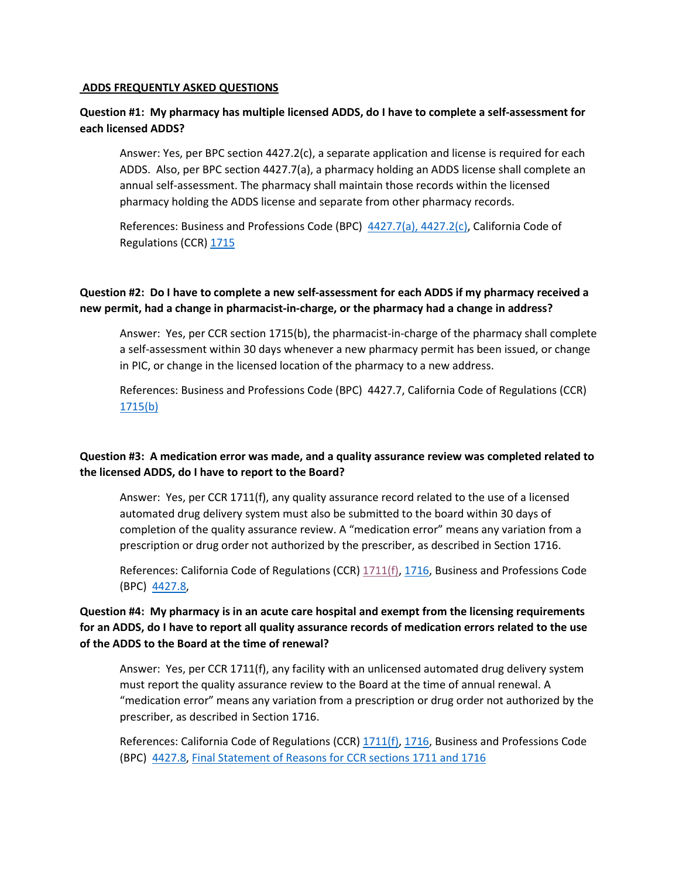### **ADDS FREQUENTLY ASKED QUESTIONS**

### **Question #1: My pharmacy has multiple licensed ADDS, do I have to complete a self-assessment for each licensed ADDS?**

Answer: Yes, per BPC section 4427.2(c), a separate application and license is required for each ADDS. Also, per BPC section 4427.7(a), a pharmacy holding an ADDS license shall complete an annual self-assessment. The pharmacy shall maintain those records within the licensed pharmacy holding the ADDS license and separate from other pharmacy records.

References: Business and Professions Code (BPC) [4427.7\(a\),](https://leginfo.legislature.ca.gov/faces/codes_displayText.xhtml?lawCode=BPC&division=2.&title=&part=&chapter=9.&article=25.) 4427.2(c), California Code of Regulations (CCR) [1715](https://govt.westlaw.com/calregs/Document/IE9020F8D85744AA59122F0031896B9DD?viewType=FullText&originationContext=documenttoc&transitionType=CategoryPageItem&contextData=(sc.Default))

# **Question #2: Do I have to complete a new self-assessment for each ADDS if my pharmacy received a new permit, had a change in pharmacist-in-charge, or the pharmacy had a change in address?**

Answer: Yes, per CCR section 1715(b), the pharmacist-in-charge of the pharmacy shall complete a self-assessment within 30 days whenever a new pharmacy permit has been issued, or change in PIC, or change in the licensed location of the pharmacy to a new address.

References: Business and Professions Code (BPC) 4427.7, California Code of Regulations (CCR) [1715\(](https://govt.westlaw.com/calregs/Document/IE9020F8D85744AA59122F0031896B9DD?viewType=FullText&originationContext=documenttoc&transitionType=CategoryPageItem&contextData=(sc.Default))b)

## **Question #3: A medication error was made, and a quality assurance review was completed related to the licensed ADDS, do I have to report to the Board?**

Answer: Yes, per CCR 1711(f), any quality assurance record related to the use of a licensed automated drug delivery system must also be submitted to the board within 30 days of completion of the quality assurance review. A "medication error" means any variation from a prescription or drug order not authorized by the prescriber, as described in Section 1716.

References: California Code of Regulations (CCR) [1711\(f\),](https://govt.westlaw.com/calregs/Document/I18F89193CF1F44888FBFA801E88643BC?viewType=FullText&listSource=Search&originationContext=Search+Result&transitionType=SearchItem&contextData=(sc.Search)&navigationPath=Search%2fv1%2fresults%2fnavigation%2fi0ad720f20000017ac680b14c0a14185d%3fppcid%3d9e9706da44ff4cdb83fc1e53c2311488%26Nav%3dREGULATION_PUBLICVIEW%26fragmentIdentifier%3dI18F89193CF1F44888FBFA801E88643BC%26startIndex%3d1%26transitionType%3dSearchItem%26contextData%3d%2528sc.Default%2529%26originationContext%3dSearch%2520Result&list=REGULATION_PUBLICVIEW&rank=1&t_T1=16&t_T2=1711&t_S1=CA+ADC+s) [1716,](https://govt.westlaw.com/calregs/Document/I03C927E0D48F11DEBC02831C6D6C108E?viewType=FullText&listSource=Search&originationContext=Search+Result&transitionType=SearchItem&contextData=(sc.Search)&navigationPath=Search%2fv1%2fresults%2fnavigation%2fi0ad62d2e00000179f314fc458c485506%3fppcid%3dfaf3e6a537f443d5b4308a286b426eae%26Nav%3dREGULATION_PUBLICVIEW%26fragmentIdentifier%3dI03C927E0D48F11DEBC02831C6D6C108E%26startIndex%3d1%26transitionType%3dSearchItem%26contextData%3d%2528sc.Default%2529%26originationContext%3dSearch%2520Result&list=REGULATION_PUBLICVIEW&rank=7&t_T2=1716&t_S1=CA+ADC+s) Business and Professions Code (BPC) [4427.8,](https://leginfo.legislature.ca.gov/faces/codes_displayText.xhtml?lawCode=BPC&division=2.&title=&part=&chapter=9.&article=25.)

# **Question #4: My pharmacy is in an acute care hospital and exempt from the licensing requirements for an ADDS, do I have to report all quality assurance records of medication errors related to the use of the ADDS to the Board at the time of renewal?**

Answer: Yes, per CCR 1711(f), any facility with an unlicensed automated drug delivery system must report the quality assurance review to the Board at the time of annual renewal. A "medication error" means any variation from a prescription or drug order not authorized by the prescriber, as described in Section 1716.

References: California Code of Regulations (CCR)  $1711(f)$ ,  $1716$ , Business and Professions Code (BPC) [4427.8,](https://leginfo.legislature.ca.gov/faces/codes_displayText.xhtml?lawCode=BPC&division=2.&title=&part=&chapter=9.&article=25.) [Final Statement of Reasons](https://www.pharmacy.ca.gov/laws_regs/1711_1713_1715_1_fsor.pdf) for CCR sections 1711 and 1716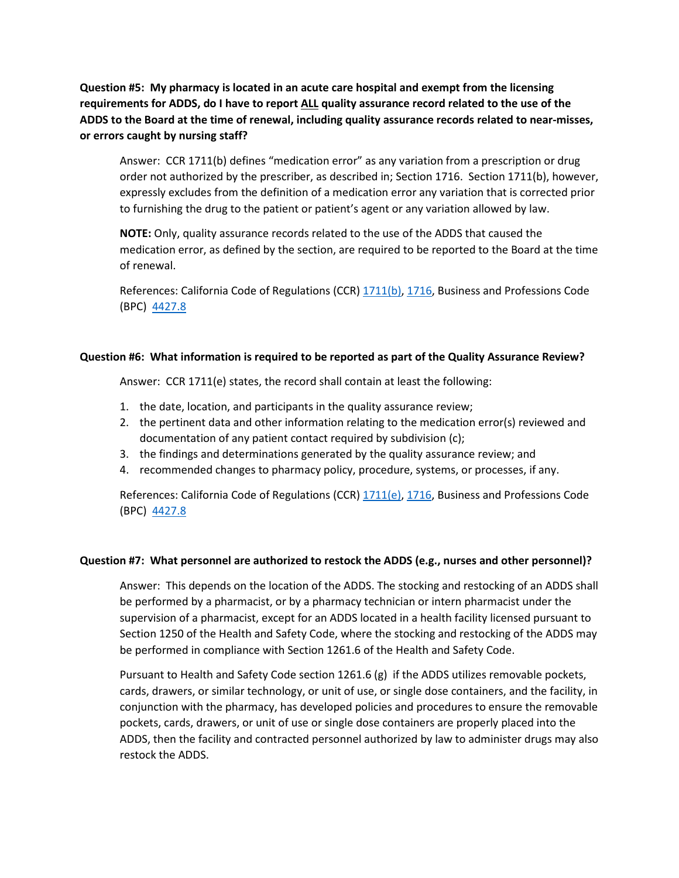**Question #5: My pharmacy is located in an acute care hospital and exempt from the licensing requirements for ADDS, do I have to report ALL quality assurance record related to the use of the ADDS to the Board at the time of renewal, including quality assurance records related to near-misses, or errors caught by nursing staff?**

Answer: CCR 1711(b) defines "medication error" as any variation from a prescription or drug order not authorized by the prescriber, as described in; Section 1716. Section 1711(b), however, expressly excludes from the definition of a medication error any variation that is corrected prior to furnishing the drug to the patient or patient's agent or any variation allowed by law.

**NOTE:** Only, quality assurance records related to the use of the ADDS that caused the medication error, as defined by the section, are required to be reported to the Board at the time of renewal.

References: California Code of Regulations (CCR) [1711\(b\),](https://govt.westlaw.com/calregs/Document/I18F89193CF1F44888FBFA801E88643BC?viewType=FullText&listSource=Search&originationContext=Search+Result&transitionType=SearchItem&contextData=(sc.Search)&navigationPath=Search%2fv1%2fresults%2fnavigation%2fi0ad720f20000017ac680b14c0a14185d%3fppcid%3d9e9706da44ff4cdb83fc1e53c2311488%26Nav%3dREGULATION_PUBLICVIEW%26fragmentIdentifier%3dI18F89193CF1F44888FBFA801E88643BC%26startIndex%3d1%26transitionType%3dSearchItem%26contextData%3d%2528sc.Default%2529%26originationContext%3dSearch%2520Result&list=REGULATION_PUBLICVIEW&rank=1&t_T1=16&t_T2=1711&t_S1=CA+ADC+s) [1716,](https://govt.westlaw.com/calregs/Document/I03C927E0D48F11DEBC02831C6D6C108E?viewType=FullText&listSource=Search&originationContext=Search+Result&transitionType=SearchItem&contextData=(sc.Search)&navigationPath=Search%2fv1%2fresults%2fnavigation%2fi0ad62d2e00000179f314fc458c485506%3fppcid%3dfaf3e6a537f443d5b4308a286b426eae%26Nav%3dREGULATION_PUBLICVIEW%26fragmentIdentifier%3dI03C927E0D48F11DEBC02831C6D6C108E%26startIndex%3d1%26transitionType%3dSearchItem%26contextData%3d%2528sc.Default%2529%26originationContext%3dSearch%2520Result&list=REGULATION_PUBLICVIEW&rank=7&t_T2=1716&t_S1=CA+ADC+s) Business and Professions Code (BPC) [4427.8](https://leginfo.legislature.ca.gov/faces/codes_displayText.xhtml?lawCode=BPC&division=2.&title=&part=&chapter=9.&article=25.)

### **Question #6: What information is required to be reported as part of the Quality Assurance Review?**

Answer: CCR 1711(e) states, the record shall contain at least the following:

- 1. the date, location, and participants in the quality assurance review;
- 2. the pertinent data and other information relating to the medication error(s) reviewed and documentation of any patient contact required by subdivision (c);
- 3. the findings and determinations generated by the quality assurance review; and
- 4. recommended changes to pharmacy policy, procedure, systems, or processes, if any.

References: California Code of Regulations (CCR)  $1711(e)$ ,  $1716$ , Business and Professions Code (BPC) [4427.8](https://leginfo.legislature.ca.gov/faces/codes_displayText.xhtml?lawCode=BPC&division=2.&title=&part=&chapter=9.&article=25.)

#### **Question #7: What personnel are authorized to restock the ADDS (e.g., nurses and other personnel)?**

Answer: This depends on the location of the ADDS. The stocking and restocking of an ADDS shall be performed by a pharmacist, or by a pharmacy technician or intern pharmacist under the supervision of a pharmacist, except for an ADDS located in a health facility licensed pursuant to Section 1250 of the Health and Safety Code, where the stocking and restocking of the ADDS may be performed in compliance with Section 1261.6 of the Health and Safety Code.

Pursuant to Health and Safety Code section 1261.6 (g) if the ADDS utilizes removable pockets, cards, drawers, or similar technology, or unit of use, or single dose containers, and the facility, in conjunction with the pharmacy, has developed policies and procedures to ensure the removable pockets, cards, drawers, or unit of use or single dose containers are properly placed into the ADDS, then the facility and contracted personnel authorized by law to administer drugs may also restock the ADDS.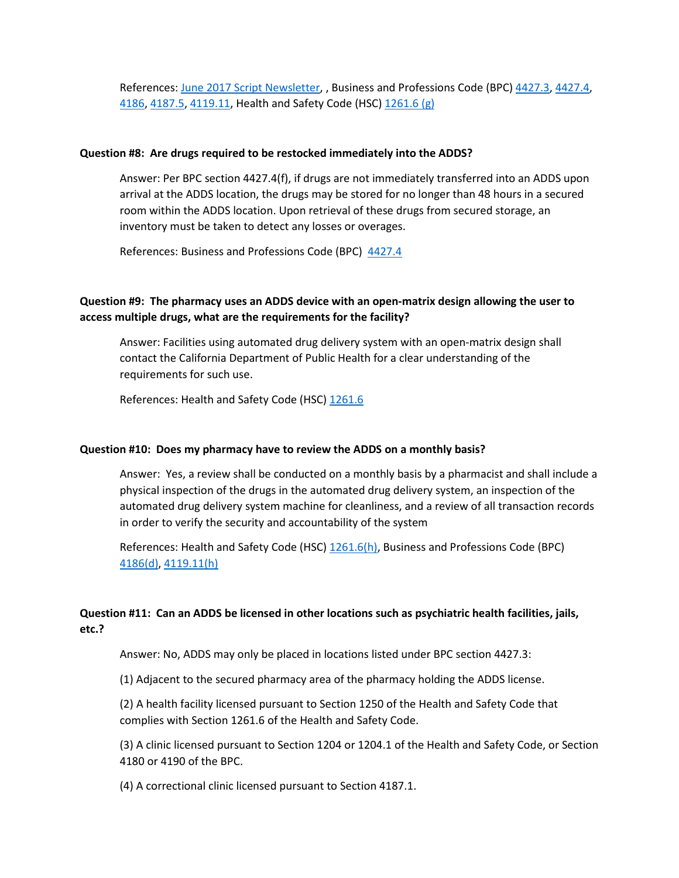References: June 2017 [Script Newsletter,](https://www.pharmacy.ca.gov/publications/17_jun_script.pdf) , Business and Professions Code (BPC) [4427.3, 4427.4,](https://leginfo.legislature.ca.gov/faces/codes_displayText.xhtml?lawCode=BPC&division=2.&title=&part=&chapter=9.&article=25.) [4186,](https://leginfo.legislature.ca.gov/faces/codes_displaySection.xhtml?sectionNum=4186.&nodeTreePath=4.25.17&lawCode=BPC) [4187.5,](https://leginfo.legislature.ca.gov/faces/codes_displayText.xhtml?lawCode=BPC&division=2.&title=&part=&chapter=9.&article=13.5.) [4119.11,](https://leginfo.legislature.ca.gov/faces/codes_displaySection.xhtml?sectionNum=4119.11&lawCode=BPC) Health and Safety Code (HSC) [1261.6](https://leginfo.legislature.ca.gov/faces/codes_displaySection.xhtml?sectionNum=1261.6.&nodeTreePath=4.3.1&lawCode=HSC) (g)

#### **Question #8: Are drugs required to be restocked immediately into the ADDS?**

Answer: Per BPC section 4427.4(f), if drugs are not immediately transferred into an ADDS upon arrival at the ADDS location, the drugs may be stored for no longer than 48 hours in a secured room within the ADDS location. Upon retrieval of these drugs from secured storage, an inventory must be taken to detect any losses or overages.

References: Business and Professions Code (BPC) [4427.4](https://leginfo.legislature.ca.gov/faces/codes_displayText.xhtml?lawCode=BPC&division=2.&title=&part=&chapter=9.&article=25.)

## **Question #9: The pharmacy uses an ADDS device with an open-matrix design allowing the user to access multiple drugs, what are the requirements for the facility?**

Answer: Facilities using automated drug delivery system with an open-matrix design shall contact the California Department of Public Health for a clear understanding of the requirements for such use.

References: Health and Safety Code (HSC) [1261.6](https://leginfo.legislature.ca.gov/faces/codes_displaySection.xhtml?sectionNum=1261.6.&nodeTreePath=4.3.1&lawCode=HSC)

#### **Question #10: Does my pharmacy have to review the ADDS on a monthly basis?**

Answer: Yes, a review shall be conducted on a monthly basis by a pharmacist and shall include a physical inspection of the drugs in the automated drug delivery system, an inspection of the automated drug delivery system machine for cleanliness, and a review of all transaction records in order to verify the security and accountability of the system

References: Health and Safety Code (HSC) [1261.6\(](https://leginfo.legislature.ca.gov/faces/codes_displaySection.xhtml?sectionNum=1261.6.&nodeTreePath=4.3.1&lawCode=HSC)h), Business and Professions Code (BPC) [4186\(](https://leginfo.legislature.ca.gov/faces/codes_displaySection.xhtml?sectionNum=4186.&nodeTreePath=4.25.17&lawCode=BPC)d), [4119.11\(](https://leginfo.legislature.ca.gov/faces/codes_displaySection.xhtml?sectionNum=4119.11&lawCode=BPC)h)

# **Question #11: Can an ADDS be licensed in other locations such as psychiatric health facilities, jails, etc.?**

Answer: No, ADDS may only be placed in locations listed under BPC section 4427.3:

(1) Adjacent to the secured pharmacy area of the pharmacy holding the ADDS license.

(2) A health facility licensed pursuant to Section 1250 of the Health and Safety Code that complies with Section 1261.6 of the Health and Safety Code.

(3) A clinic licensed pursuant to Section 1204 or 1204.1 of the Health and Safety Code, or Section 4180 or 4190 of the BPC.

(4) A correctional clinic licensed pursuant to Section 4187.1.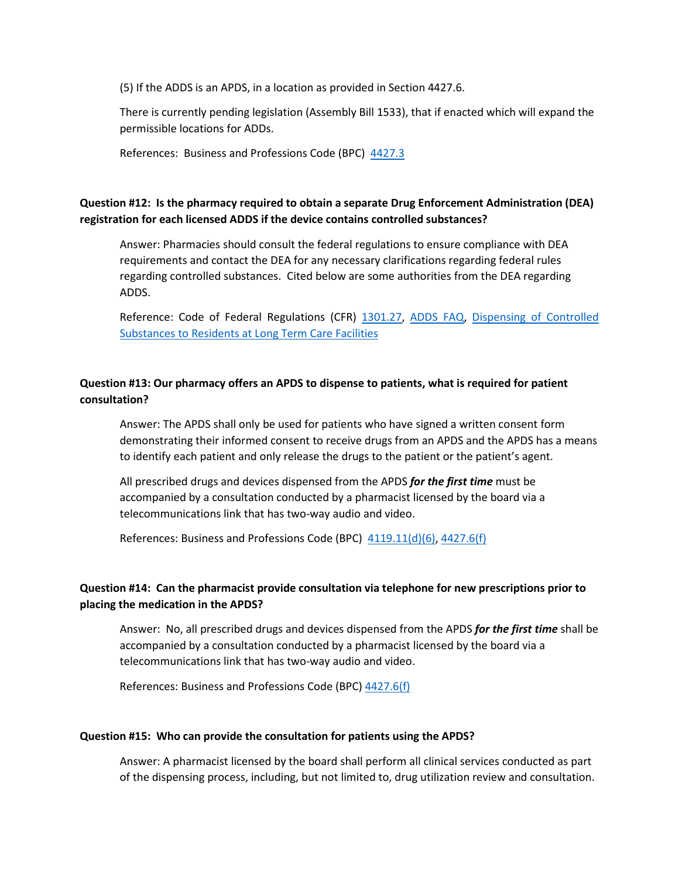(5) If the ADDS is an APDS, in a location as provided in Section 4427.6.

There is currently pending legislation (Assembly Bill 1533), that if enacted which will expand the permissible locations for ADDs.

References: Business and Professions Code (BPC) [4427.3](https://leginfo.legislature.ca.gov/faces/codes_displayText.xhtml?lawCode=BPC&division=2.&title=&part=&chapter=9.&article=25.)

## **Question #12: Is the pharmacy required to obtain a separate Drug Enforcement Administration (DEA) registration for each licensed ADDS if the device contains controlled substances?**

Answer: Pharmacies should consult the federal regulations to ensure compliance with DEA requirements and contact the DEA for any necessary clarifications regarding federal rules regarding controlled substances. Cited below are some authorities from the DEA regarding ADDS.

Reference: Code of Federal Regulations (CFR) [1301.27,](https://www.deadiversion.usdoj.gov/21cfr/cfr/1301/1301_27.htm) [ADDS FAQ,](https://www.pharmacy.ca.gov/publications/adds_faqs.pdf) [Dispensing of Controlled](https://www.federalregister.gov/documents/2010/06/29/2010-15757/dispensing-of-controlled-substances-to-residents-at-long-term-care-facilities)  [Substances to Residents at Long Term Care Facilities](https://www.federalregister.gov/documents/2010/06/29/2010-15757/dispensing-of-controlled-substances-to-residents-at-long-term-care-facilities)

## **Question #13: Our pharmacy offers an APDS to dispense to patients, what is required for patient consultation?**

Answer: The APDS shall only be used for patients who have signed a written consent form demonstrating their informed consent to receive drugs from an APDS and the APDS has a means to identify each patient and only release the drugs to the patient or the patient's agent.

All prescribed drugs and devices dispensed from the APDS *for the first time* must be accompanied by a consultation conducted by a pharmacist licensed by the board via a telecommunications link that has two-way audio and video.

References: Business and Professions Code (BPC) [4119.11\(d\)\(6\),](https://leginfo.legislature.ca.gov/faces/codes_displaySection.xhtml?sectionNum=4119.11&lawCode=BPC) [4427.6\(](https://leginfo.legislature.ca.gov/faces/codes_displaySection.xhtml?sectionNum=4427.6&lawCode=BPC)f)

# **Question #14: Can the pharmacist provide consultation via telephone for new prescriptions prior to placing the medication in the APDS?**

Answer: No, all prescribed drugs and devices dispensed from the APDS *for the first time* shall be accompanied by a consultation conducted by a pharmacist licensed by the board via a telecommunications link that has two-way audio and video.

References: Business and Professions Code (BPC) [4427.6\(f\)](https://leginfo.legislature.ca.gov/faces/codes_displaySection.xhtml?sectionNum=4427.6&lawCode=BPC)

#### **Question #15: Who can provide the consultation for patients using the APDS?**

Answer: A pharmacist licensed by the board shall perform all clinical services conducted as part of the dispensing process, including, but not limited to, drug utilization review and consultation.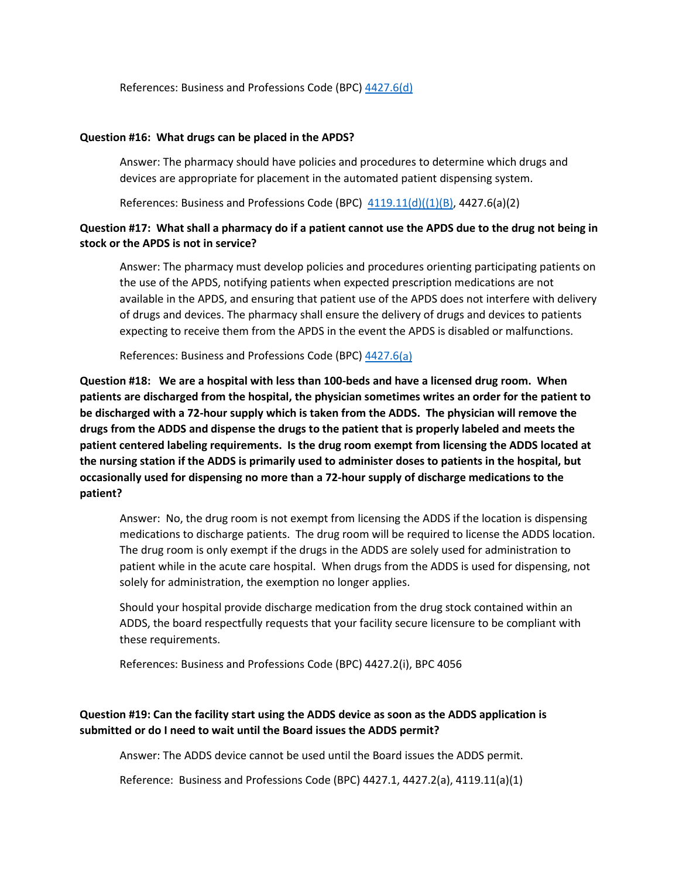References: Business and Professions Code (BPC) [4427.6\(d\)](https://leginfo.legislature.ca.gov/faces/codes_displaySection.xhtml?sectionNum=4427.6&lawCode=BPC)

### **Question #16: What drugs can be placed in the APDS?**

Answer: The pharmacy should have policies and procedures to determine which drugs and devices are appropriate for placement in the automated patient dispensing system.

References: Business and Professions Code (BPC)  $4119.11(d)((1)(B)$ , 4427.6(a)(2)

### **Question #17: What shall a pharmacy do if a patient cannot use the APDS due to the drug not being in stock or the APDS is not in service?**

Answer: The pharmacy must develop policies and procedures orienting participating patients on the use of the APDS, notifying patients when expected prescription medications are not available in the APDS, and ensuring that patient use of the APDS does not interfere with delivery of drugs and devices. The pharmacy shall ensure the delivery of drugs and devices to patients expecting to receive them from the APDS in the event the APDS is disabled or malfunctions.

References: Business and Professions Code (BPC) [4427.6\(](https://leginfo.legislature.ca.gov/faces/codes_displaySection.xhtml?sectionNum=4427.6&lawCode=BPC)a)

**Question #18: We are a hospital with less than 100-beds and have a licensed drug room. When patients are discharged from the hospital, the physician sometimes writes an order for the patient to be discharged with a 72-hour supply which is taken from the ADDS. The physician will remove the drugs from the ADDS and dispense the drugs to the patient that is properly labeled and meets the patient centered labeling requirements. Is the drug room exempt from licensing the ADDS located at the nursing station if the ADDS is primarily used to administer doses to patients in the hospital, but occasionally used for dispensing no more than a 72-hour supply of discharge medications to the patient?** 

Answer: No, the drug room is not exempt from licensing the ADDS if the location is dispensing medications to discharge patients. The drug room will be required to license the ADDS location. The drug room is only exempt if the drugs in the ADDS are solely used for administration to patient while in the acute care hospital. When drugs from the ADDS is used for dispensing, not solely for administration, the exemption no longer applies.

Should your hospital provide discharge medication from the drug stock contained within an ADDS, the board respectfully requests that your facility secure licensure to be compliant with these requirements.

References: Business and Professions Code (BPC) 4427.2(i), BPC 4056

## **Question #19: Can the facility start using the ADDS device as soon as the ADDS application is submitted or do I need to wait until the Board issues the ADDS permit?**

Answer: The ADDS device cannot be used until the Board issues the ADDS permit.

Reference: Business and Professions Code (BPC) 4427.1, 4427.2(a), 4119.11(a)(1)